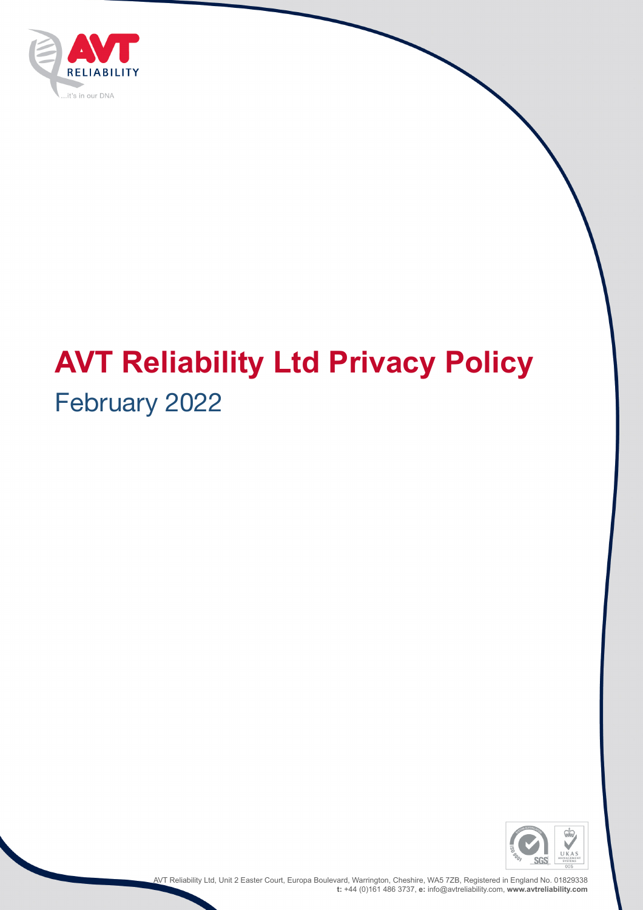

# **AVT Reliability Ltd Privacy Policy** February 2022



AVT Reliability Ltd, Unit 2 Easter Court, Europa Boulevard, Warrington, Cheshire, WA5 7ZB, Registered in England No. 01829338 **t:** +44 (0)161 486 3737, **e:** info@avtreliability.com, **www.avtreliability.com**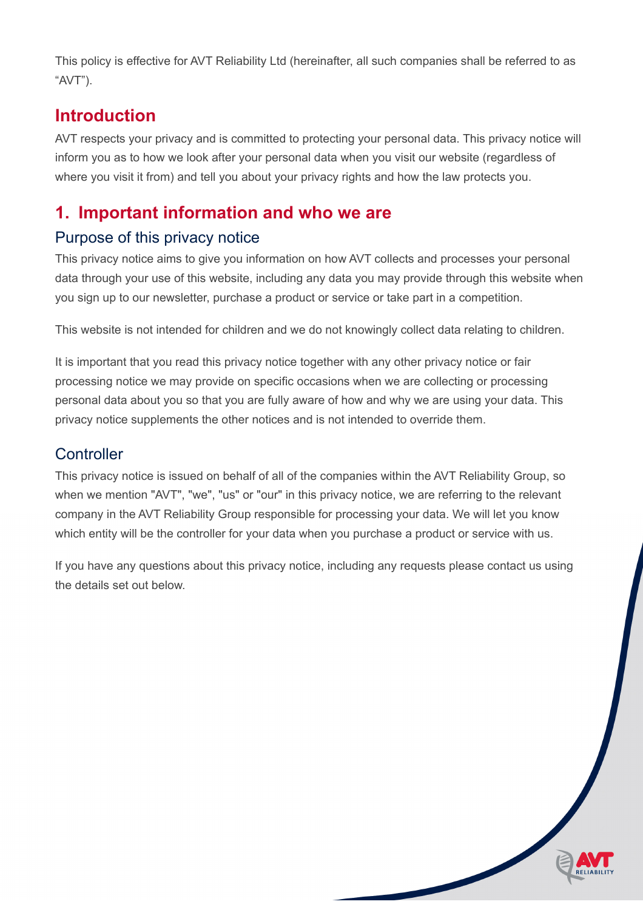This policy is effective for AVT Reliability Ltd (hereinafter, all such companies shall be referred to as "AVT").

# **Introduction**

AVT respects your privacy and is committed to protecting your personal data. This privacy notice will inform you as to how we look after your personal data when you visit our website (regardless of where you visit it from) and tell you about your privacy rights and how the law protects you.

# **1. Important information and who we are**

# Purpose of this privacy notice

This privacy notice aims to give you information on how AVT collects and processes your personal data through your use of this website, including any data you may provide through this website when you sign up to our newsletter, purchase a product or service or take part in a competition.

This website is not intended for children and we do not knowingly collect data relating to children.

It is important that you read this privacy notice together with any other privacy notice or fair processing notice we may provide on specific occasions when we are collecting or processing personal data about you so that you are fully aware of how and why we are using your data. This privacy notice supplements the other notices and is not intended to override them.

#### **Controller**

This privacy notice is issued on behalf of all of the companies within the AVT Reliability Group, so when we mention "AVT", "we", "us" or "our" in this privacy notice, we are referring to the relevant company in the AVT Reliability Group responsible for processing your data. We will let you know which entity will be the controller for your data when you purchase a product or service with us.

If you have any questions about this privacy notice, including any requests please contact us using the details set out below.

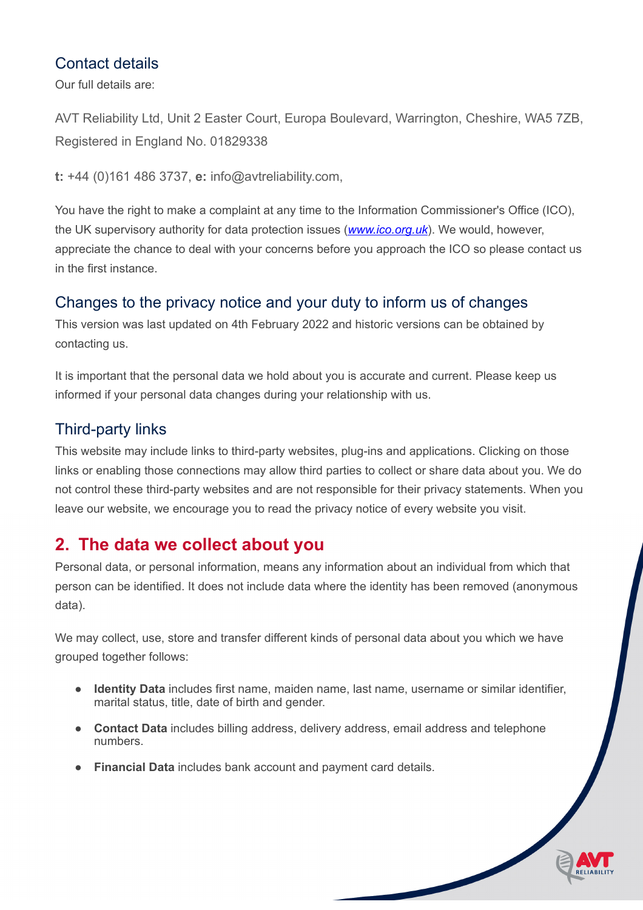## Contact details

Our full details are:

AVT Reliability Ltd, Unit 2 Easter Court, Europa Boulevard, Warrington, Cheshire, WA5 7ZB, Registered in England No. 01829338

**t:** +44 (0)161 486 3737, **e:** info@avtreliability.com,

You have the right to make a complaint at any time to the Information Commissioner's Office (ICO), the UK supervisory authority for data protection issues (*www.ico.org.uk*). We would, however, appreciate the chance to deal with your concerns before you approach the ICO so please contact us in the first instance.

## Changes to the privacy notice and your duty to inform us of changes

This version was last updated on 4th February 2022 and historic versions can be obtained by contacting us.

It is important that the personal data we hold about you is accurate and current. Please keep us informed if your personal data changes during your relationship with us.

## Third-party links

This website may include links to third-party websites, plug-ins and applications. Clicking on those links or enabling those connections may allow third parties to collect or share data about you. We do not control these third-party websites and are not responsible for their privacy statements. When you leave our website, we encourage you to read the privacy notice of every website you visit.

# **2. The data we collect about you**

Personal data, or personal information, means any information about an individual from which that person can be identified. It does not include data where the identity has been removed (anonymous data).

We may collect, use, store and transfer different kinds of personal data about you which we have grouped together follows:

- **Identity Data** includes first name, maiden name, last name, username or similar identifier, marital status, title, date of birth and gender.
- **Contact Data** includes billing address, delivery address, email address and telephone numbers.
- **Financial Data** includes bank account and payment card details.

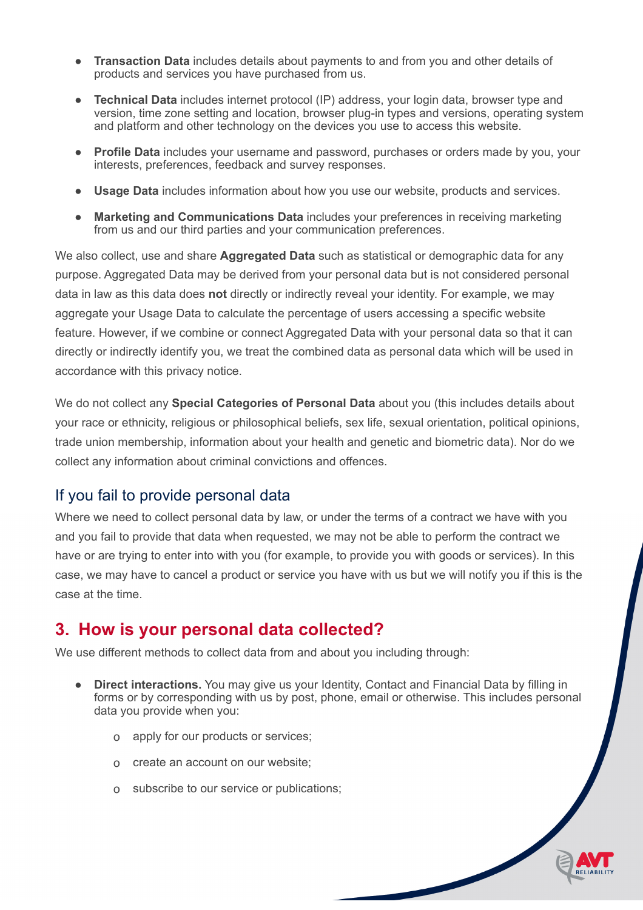- **Transaction Data** includes details about payments to and from you and other details of products and services you have purchased from us.
- **Technical Data** includes internet protocol (IP) address, your login data, browser type and version, time zone setting and location, browser plug-in types and versions, operating system and platform and other technology on the devices you use to access this website.
- **Profile Data** includes your username and password, purchases or orders made by you, your interests, preferences, feedback and survey responses.
- **Usage Data** includes information about how you use our website, products and services.
- **Marketing and Communications Data** includes your preferences in receiving marketing from us and our third parties and your communication preferences.

We also collect, use and share **Aggregated Data** such as statistical or demographic data for any purpose. Aggregated Data may be derived from your personal data but is not considered personal data in law as this data does **not** directly or indirectly reveal your identity. For example, we may aggregate your Usage Data to calculate the percentage of users accessing a specific website feature. However, if we combine or connect Aggregated Data with your personal data so that it can directly or indirectly identify you, we treat the combined data as personal data which will be used in accordance with this privacy notice.

We do not collect any **Special Categories of Personal Data** about you (this includes details about your race or ethnicity, religious or philosophical beliefs, sex life, sexual orientation, political opinions, trade union membership, information about your health and genetic and biometric data). Nor do we collect any information about criminal convictions and offences.

#### If you fail to provide personal data

Where we need to collect personal data by law, or under the terms of a contract we have with you and you fail to provide that data when requested, we may not be able to perform the contract we have or are trying to enter into with you (for example, to provide you with goods or services). In this case, we may have to cancel a product or service you have with us but we will notify you if this is the case at the time.

# **3. How is your personal data collected?**

We use different methods to collect data from and about you including through:

- **Direct interactions.** You may give us your Identity, Contact and Financial Data by filling in forms or by corresponding with us by post, phone, email or otherwise. This includes personal data you provide when you:
	- o apply for our products or services;
	- o create an account on our website;
	- o subscribe to our service or publications;

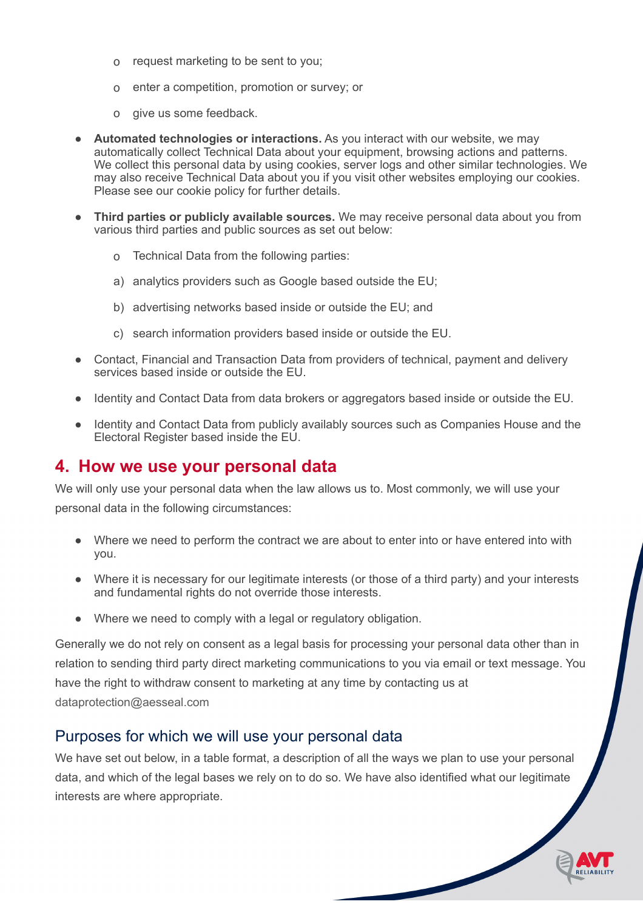- o request marketing to be sent to you;
- o enter a competition, promotion or survey; or
- o give us some feedback.
- **Automated technologies or interactions.** As you interact with our website, we may automatically collect Technical Data about your equipment, browsing actions and patterns. We collect this personal data by using cookies, server logs and other similar technologies. We may also receive Technical Data about you if you visit other websites employing our cookies. Please see our cookie policy for further details.
- **Third parties or publicly available sources.** We may receive personal data about you from various third parties and public sources as set out below:
	- o Technical Data from the following parties:
	- a) analytics providers such as Google based outside the EU;
	- b) advertising networks based inside or outside the EU; and
	- c) search information providers based inside or outside the EU.
- Contact, Financial and Transaction Data from providers of technical, payment and delivery services based inside or outside the EU.
- Identity and Contact Data from data brokers or aggregators based inside or outside the EU.
- Identity and Contact Data from publicly availably sources such as Companies House and the Electoral Register based inside the EU.

# **4. How we use your personal data**

We will only use your personal data when the law allows us to. Most commonly, we will use your personal data in the following circumstances:

- Where we need to perform the contract we are about to enter into or have entered into with you.
- Where it is necessary for our legitimate interests (or those of a third party) and your interests and fundamental rights do not override those interests.
- Where we need to comply with a legal or regulatory obligation.

Generally we do not rely on consent as a legal basis for processing your personal data other than in relation to sending third party direct marketing communications to you via email or text message. You have the right to withdraw consent to marketing at any time by contacting us at dataprotection@aesseal.com

#### Purposes for which we will use your personal data

We have set out below, in a table format, a description of all the ways we plan to use your personal data, and which of the legal bases we rely on to do so. We have also identified what our legitimate interests are where appropriate.

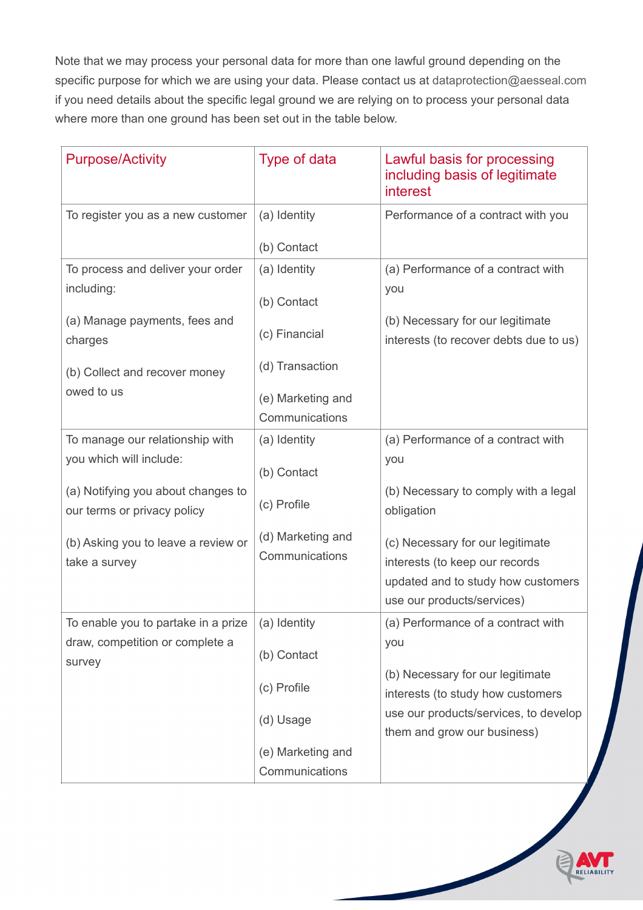Note that we may process your personal data for more than one lawful ground depending on the specific purpose for which we are using your data. Please contact us at dataprotection@aesseal.com if you need details about the specific legal ground we are relying on to process your personal data where more than one ground has been set out in the table below.

| <b>Purpose/Activity</b>                                           | Type of data                        | Lawful basis for processing<br>including basis of legitimate<br>interest   |
|-------------------------------------------------------------------|-------------------------------------|----------------------------------------------------------------------------|
| To register you as a new customer                                 | (a) Identity                        | Performance of a contract with you                                         |
|                                                                   | (b) Contact                         |                                                                            |
| To process and deliver your order                                 | (a) Identity                        | (a) Performance of a contract with                                         |
| including:                                                        | (b) Contact                         | you                                                                        |
| (a) Manage payments, fees and<br>charges                          | (c) Financial                       | (b) Necessary for our legitimate<br>interests (to recover debts due to us) |
| (b) Collect and recover money                                     | (d) Transaction                     |                                                                            |
| owed to us                                                        | (e) Marketing and<br>Communications |                                                                            |
| To manage our relationship with                                   | (a) Identity                        | (a) Performance of a contract with                                         |
| you which will include:                                           | (b) Contact                         | you                                                                        |
| (a) Notifying you about changes to<br>our terms or privacy policy | (c) Profile                         | (b) Necessary to comply with a legal<br>obligation                         |
| (b) Asking you to leave a review or                               | (d) Marketing and                   | (c) Necessary for our legitimate                                           |
| take a survey                                                     | Communications                      | interests (to keep our records                                             |
|                                                                   |                                     | updated and to study how customers                                         |
| To enable you to partake in a prize                               |                                     | use our products/services)<br>(a) Performance of a contract with           |
| draw, competition or complete a                                   | (a) Identity                        | you                                                                        |
| survey                                                            | (b) Contact                         |                                                                            |
|                                                                   | (c) Profile<br>(d) Usage            | (b) Necessary for our legitimate                                           |
|                                                                   |                                     | interests (to study how customers                                          |
|                                                                   |                                     | use our products/services, to develop<br>them and grow our business)       |
|                                                                   | (e) Marketing and                   |                                                                            |
|                                                                   | Communications                      |                                                                            |

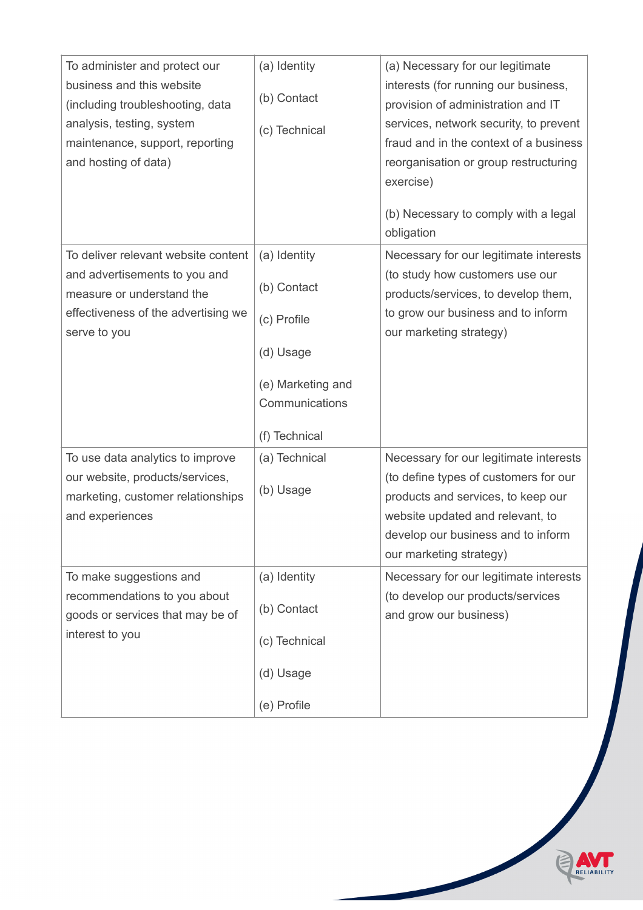| To administer and protect our<br>business and this website<br>(including troubleshooting, data<br>analysis, testing, system<br>maintenance, support, reporting<br>and hosting of data) | (a) Identity<br>(b) Contact<br>(c) Technical                                                                    | (a) Necessary for our legitimate<br>interests (for running our business,<br>provision of administration and IT<br>services, network security, to prevent<br>fraud and in the context of a business<br>reorganisation or group restructuring<br>exercise)<br>(b) Necessary to comply with a legal<br>obligation |
|----------------------------------------------------------------------------------------------------------------------------------------------------------------------------------------|-----------------------------------------------------------------------------------------------------------------|----------------------------------------------------------------------------------------------------------------------------------------------------------------------------------------------------------------------------------------------------------------------------------------------------------------|
| To deliver relevant website content<br>and advertisements to you and<br>measure or understand the<br>effectiveness of the advertising we<br>serve to you                               | (a) Identity<br>(b) Contact<br>(c) Profile<br>(d) Usage<br>(e) Marketing and<br>Communications<br>(f) Technical | Necessary for our legitimate interests<br>(to study how customers use our<br>products/services, to develop them,<br>to grow our business and to inform<br>our marketing strategy)                                                                                                                              |
| To use data analytics to improve<br>our website, products/services,<br>marketing, customer relationships<br>and experiences<br>To make suggestions and                                 | (a) Technical<br>(b) Usage<br>(a) Identity                                                                      | Necessary for our legitimate interests<br>(to define types of customers for our<br>products and services, to keep our<br>website updated and relevant, to<br>develop our business and to inform<br>our marketing strategy)<br>Necessary for our legitimate interests                                           |
| recommendations to you about<br>goods or services that may be of<br>interest to you                                                                                                    | (b) Contact<br>(c) Technical<br>(d) Usage<br>(e) Profile                                                        | (to develop our products/services<br>and grow our business)                                                                                                                                                                                                                                                    |

RELIABILITY

 $\epsilon$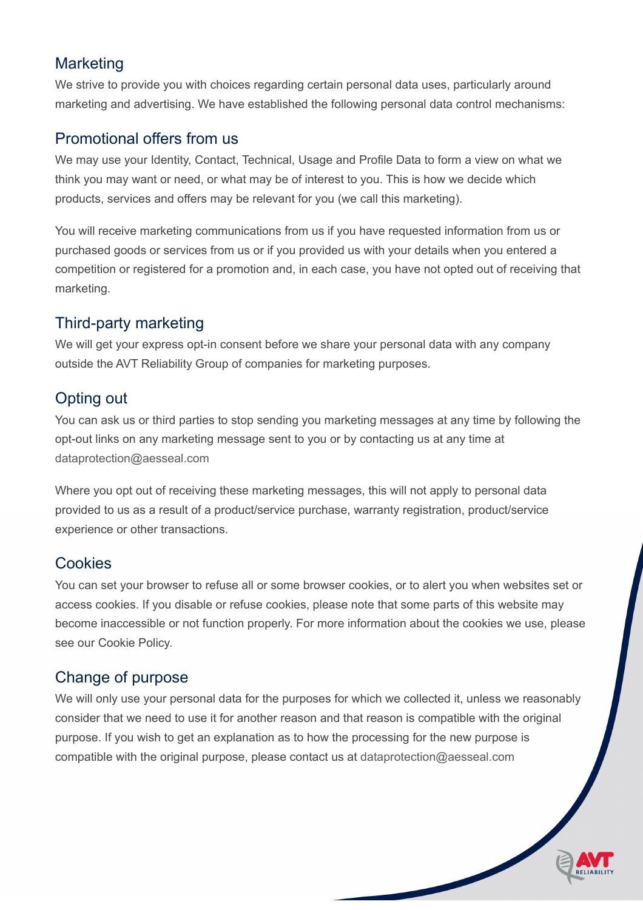# Marketing

We strive to provide you with choices regarding certain personal data uses, particularly around marketing and advertising. We have established the following personal data control mechanisms:

#### Promotional offers from us

We may use your Identity, Contact, Technical, Usage and Profile Data to form a view on what we think you may want or need, or what may be of interest to you. This is how we decide which products, services and offers may be relevant for you (we call this marketing).

You will receive marketing communications from us if you have requested information from us or purchased goods or services from us or if you provided us with your details when you entered a competition or registered for a promotion and, in each case, you have not opted out of receiving that marketing.

## Third-party marketing

We will get your express opt-in consent before we share your personal data with any company outside the AVT Reliability Group of companies for marketing purposes.

# Opting out

You can ask us or third parties to stop sending you marketing messages at any time by following the opt-out links on any marketing message sent to you or by contacting us at any time at dataprotection@aesseal.com

Where you opt out of receiving these marketing messages, this will not apply to personal data provided to us as a result of a product/service purchase, warranty registration, product/service experience or other transactions.

## Cookies

You can set your browser to refuse all or some browser cookies, or to alert you when websites set or access cookies. If you disable or refuse cookies, please note that some parts of this website may become inaccessible or not function properly. For more information about the cookies we use, please see our Cookie Policy.

# Change of purpose

We will only use your personal data for the purposes for which we collected it, unless we reasonably consider that we need to use it for another reason and that reason is compatible with the original purpose. If you wish to get an explanation as to how the processing for the new purpose is compatible with the original purpose, please contact us at dataprotection@aesseal.com

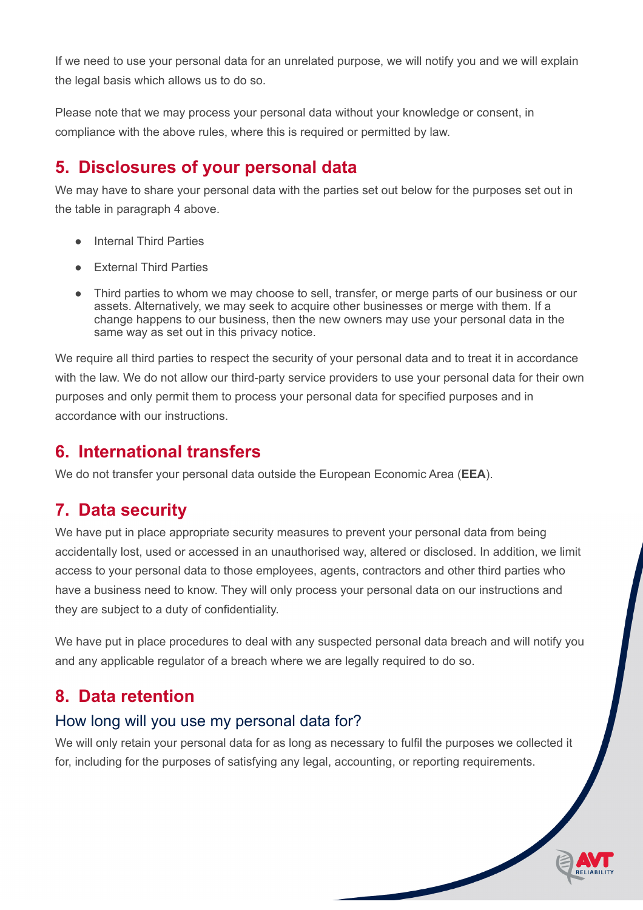If we need to use your personal data for an unrelated purpose, we will notify you and we will explain the legal basis which allows us to do so.

Please note that we may process your personal data without your knowledge or consent, in compliance with the above rules, where this is required or permitted by law.

# **5. Disclosures of your personal data**

We may have to share your personal data with the parties set out below for the purposes set out in the table in paragraph 4 above.

- Internal Third Parties
- **External Third Parties**
- Third parties to whom we may choose to sell, transfer, or merge parts of our business or our assets. Alternatively, we may seek to acquire other businesses or merge with them. If a change happens to our business, then the new owners may use your personal data in the same way as set out in this privacy notice.

We require all third parties to respect the security of your personal data and to treat it in accordance with the law. We do not allow our third-party service providers to use your personal data for their own purposes and only permit them to process your personal data for specified purposes and in accordance with our instructions.

# **6. International transfers**

We do not transfer your personal data outside the European Economic Area (**EEA**).

# **7. Data security**

We have put in place appropriate security measures to prevent your personal data from being accidentally lost, used or accessed in an unauthorised way, altered or disclosed. In addition, we limit access to your personal data to those employees, agents, contractors and other third parties who have a business need to know. They will only process your personal data on our instructions and they are subject to a duty of confidentiality.

We have put in place procedures to deal with any suspected personal data breach and will notify you and any applicable regulator of a breach where we are legally required to do so.

# **8. Data retention**

#### How long will you use my personal data for?

We will only retain your personal data for as long as necessary to fulfil the purposes we collected it for, including for the purposes of satisfying any legal, accounting, or reporting requirements.

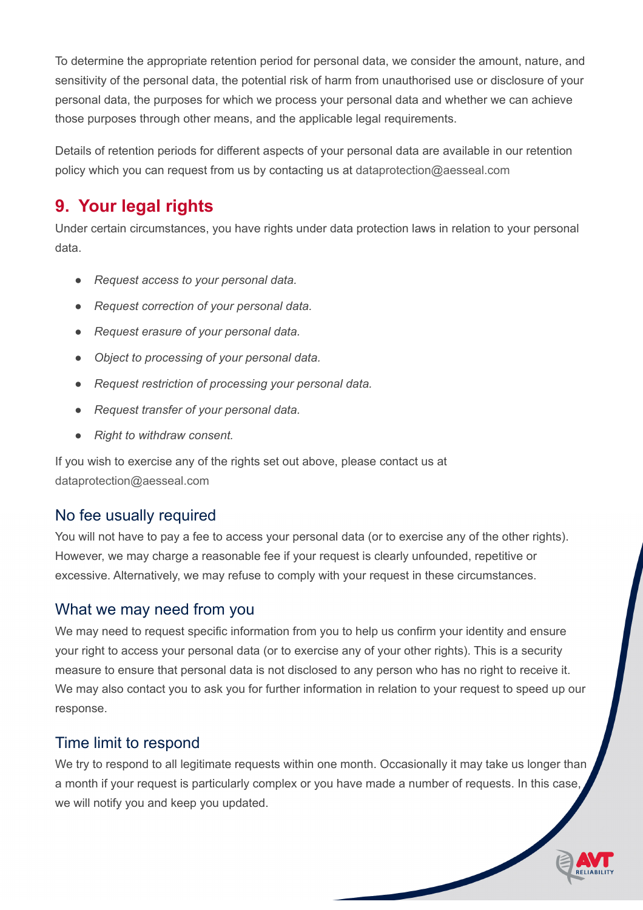To determine the appropriate retention period for personal data, we consider the amount, nature, and sensitivity of the personal data, the potential risk of harm from unauthorised use or disclosure of your personal data, the purposes for which we process your personal data and whether we can achieve those purposes through other means, and the applicable legal requirements.

Details of retention periods for different aspects of your personal data are available in our retention policy which you can request from us by contacting us at dataprotection@aesseal.com

# **9. Your legal rights**

Under certain circumstances, you have rights under data protection laws in relation to your personal data.

- *Request access to your personal data.*
- *Request correction of your personal data.*
- *Request erasure of your personal data.*
- *Object to processing of your personal data.*
- *Request restriction of processing your personal data.*
- *Request transfer of your personal data.*
- *Right to withdraw consent.*

If you wish to exercise any of the rights set out above, please contact us at dataprotection@aesseal.com

## No fee usually required

You will not have to pay a fee to access your personal data (or to exercise any of the other rights). However, we may charge a reasonable fee if your request is clearly unfounded, repetitive or excessive. Alternatively, we may refuse to comply with your request in these circumstances.

#### What we may need from you

We may need to request specific information from you to help us confirm your identity and ensure your right to access your personal data (or to exercise any of your other rights). This is a security measure to ensure that personal data is not disclosed to any person who has no right to receive it. We may also contact you to ask you for further information in relation to your request to speed up our response.

## Time limit to respond

We try to respond to all legitimate requests within one month. Occasionally it may take us longer than a month if your request is particularly complex or you have made a number of requests. In this case, we will notify you and keep you updated.

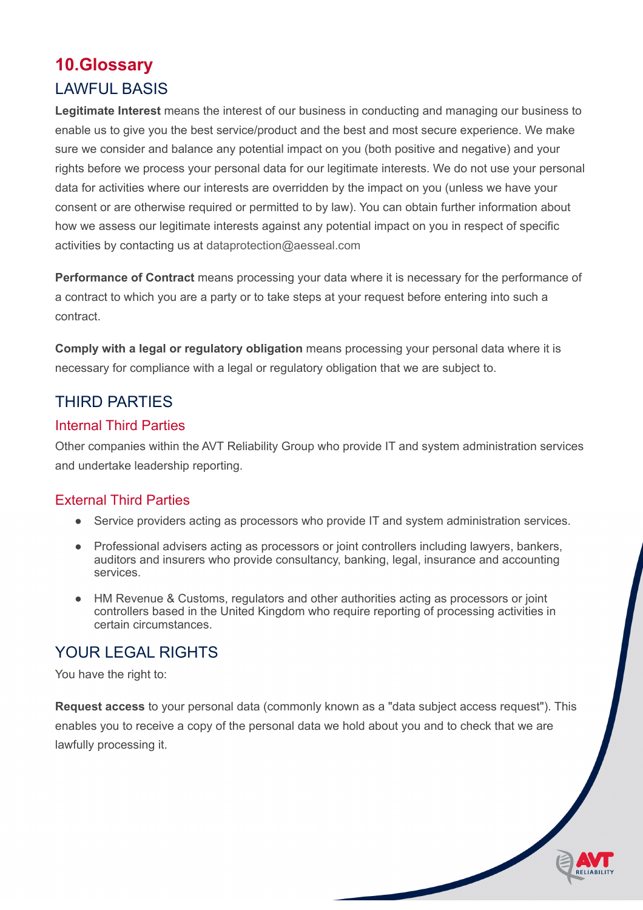# **10.Glossary** LAWFUL BASIS

**Legitimate Interest** means the interest of our business in conducting and managing our business to enable us to give you the best service/product and the best and most secure experience. We make sure we consider and balance any potential impact on you (both positive and negative) and your rights before we process your personal data for our legitimate interests. We do not use your personal data for activities where our interests are overridden by the impact on you (unless we have your consent or are otherwise required or permitted to by law). You can obtain further information about how we assess our legitimate interests against any potential impact on you in respect of specific activities by contacting us at dataprotection@aesseal.com

**Performance of Contract** means processing your data where it is necessary for the performance of a contract to which you are a party or to take steps at your request before entering into such a contract.

**Comply with a legal or regulatory obligation** means processing your personal data where it is necessary for compliance with a legal or regulatory obligation that we are subject to.

# THIRD PARTIES

#### Internal Third Parties

Other companies within the AVT Reliability Group who provide IT and system administration services and undertake leadership reporting.

#### External Third Parties

- Service providers acting as processors who provide IT and system administration services.
- Professional advisers acting as processors or joint controllers including lawyers, bankers, auditors and insurers who provide consultancy, banking, legal, insurance and accounting services.
- HM Revenue & Customs, regulators and other authorities acting as processors or joint controllers based in the United Kingdom who require reporting of processing activities in certain circumstances.

## YOUR LEGAL RIGHTS

You have the right to:

**Request access** to your personal data (commonly known as a "data subject access request"). This enables you to receive a copy of the personal data we hold about you and to check that we are lawfully processing it.